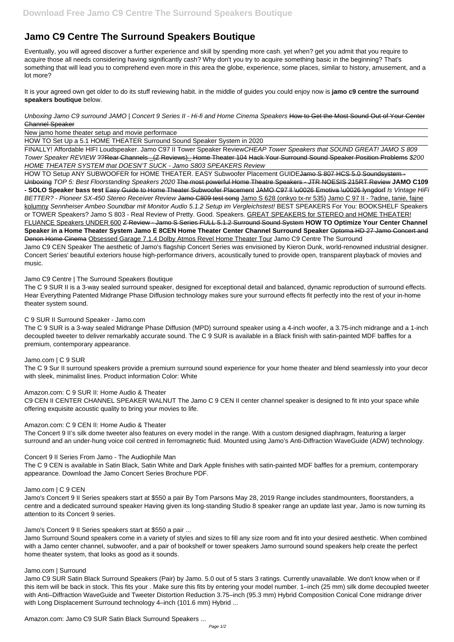# **Jamo C9 Centre The Surround Speakers Boutique**

Eventually, you will agreed discover a further experience and skill by spending more cash. yet when? get you admit that you require to acquire those all needs considering having significantly cash? Why don't you try to acquire something basic in the beginning? That's something that will lead you to comprehend even more in this area the globe, experience, some places, similar to history, amusement, and a lot more?

It is your agreed own get older to do its stuff reviewing habit. in the middle of guides you could enjoy now is **jamo c9 centre the surround speakers boutique** below.

FINALLY! Affordable HIFI Loudspeaker. Jamo C97 II Tower Speaker ReviewCHEAP Tower Speakers that SOUND GREAT! JAMO S 809 Tower Speaker REVIEW ??Rear Channels \_(Z Reviews)\_ Home Theater 104 Hack Your Surround Sound Speaker Position Problems \$200 HOME THEATER SYSTEM that DOESN'T SUCK - Jamo S803 SPEAKERS Review

Unboxing Jamo C9 surround JAMO | Concert 9 Series II - Hi-fi and Home Cinema Speakers How to Get the Most Sound Out of Your Center Channel Speaker

New jamo home theater setup and movie performace

HOW TO Set Up a 5.1 HOME THEATER Surround Sound Speaker System in 2020

HOW TO Setup ANY SUBWOOFER for HOME THEATER. EASY Subwoofer Placement GUIDEJamo S 807 HCS 5.0 Soundsystem -Unboxing TOP 5: Best Floorstanding Speakers 2020 The most powerful Home Theatre Speakers - JTR NOESIS 215RT Review **JAMO C109 - SOLO Speaker bass test** Easy Guide to Home Theater Subwoofer Placement JAMO C97 ll \u0026 Emotiva \u0026 lyngdorf Is Vintage HiFi BETTER? - Pioneer SX-450 Stereo Receiver Review Jamo C809 test song Jamo S 628 (onkyo tx-nr 535) Jamo C 97 II - ?adne, tanie, fajne kolumny Sennheiser Ambeo Soundbar mit Monitor Audio 5.1.2 Setup im Vergleichstest! BEST SPEAKERS For You: BOOKSHELF Speakers or TOWER Speakers? Jamo S 803 - Real Review of Pretty. Good. Speakers. GREAT SPEAKERS for STEREO and HOME THEATER! FLUANCE Speakers UNDER 600 Z Review - Jamo S Series FULL 5.1.2 Surround Sound System **HOW TO Optimize Your Center Channel Speaker in a Home Theater System Jamo E 8CEN Home Theater Center Channel Surround Speaker** Optoma HD 27 Jamo Concert and Denon Home Cinema Obsessed Garage 7.1.4 Dolby Atmos Revel Home Theater Tour Jamo C9 Centre The Surround Jamo C9 CEN Speaker The aesthetic of Jamo's flagship Concert Series was envisioned by Kieron Dunk, world-renowned industrial designer. Concert Series' beautiful exteriors house high-performance drivers, acoustically tuned to provide open, transparent playback of movies and music.

# Jamo C9 Centre | The Surround Speakers Boutique

The C 9 SUR II is a 3-way sealed surround speaker, designed for exceptional detail and balanced, dynamic reproduction of surround effects. Hear Everything Patented Midrange Phase Diffusion technology makes sure your surround effects fit perfectly into the rest of your in-home theater system sound.

# C 9 SUR II Surround Speaker - Jamo.com

The C 9 SUR is a 3-way sealed Midrange Phase Diffusion (MPD) surround speaker using a 4-inch woofer, a 3.75-inch midrange and a 1-inch decoupled tweeter to deliver remarkably accurate sound. The C 9 SUR is available in a Black finish with satin-painted MDF baffles for a premium, contemporary appearance.

## Jamo.com | C 9 SUR

The C 9 Sur II surround speakers provide a premium surround sound experience for your home theater and blend seamlessly into your decor with sleek, minimalist lines. Product information Color: White

## Amazon.com: C 9 SUR II: Home Audio & Theater

C9 CEN II CENTER CHANNEL SPEAKER WALNUT The Jamo C 9 CEN II center channel speaker is designed to fit into your space while offering exquisite acoustic quality to bring your movies to life.

## Amazon.com: C 9 CEN II: Home Audio & Theater

The Concert 9 II's silk dome tweeter also features on every model in the range. With a custom designed diaphragm, featuring a larger surround and an under-hung voice coil centred in ferromagnetic fluid. Mounted using Jamo's Anti-Diffraction WaveGuide (ADW) technology.

# Concert 9 II Series From Jamo - The Audiophile Man

The C 9 CEN is available in Satin Black, Satin White and Dark Apple finishes with satin-painted MDF baffles for a premium, contemporary appearance. Download the Jamo Concert Series Brochure PDF.

Jamo.com | C 9 CEN

Jamo's Concert 9 II Series speakers start at \$550 a pair By Tom Parsons May 28, 2019 Range includes standmounters, floorstanders, a centre and a dedicated surround speaker Having given its long-standing Studio 8 speaker range an update last year, Jamo is now turning its attention to its Concert 9 series.

Jamo's Concert 9 II Series speakers start at \$550 a pair ...

Jamo Surround Sound speakers come in a variety of styles and sizes to fill any size room and fit into your desired aesthetic. When combined with a Jamo center channel, subwoofer, and a pair of bookshelf or tower speakers Jamo surround sound speakers help create the perfect home theater system, that looks as good as it sounds.

#### Jamo.com | Surround

Jamo C9 SUR Satin Black Surround Speakers (Pair) by Jamo. 5.0 out of 5 stars 3 ratings. Currently unavailable. We don't know when or if this item will be back in stock. This fits your . Make sure this fits by entering your model number. 1–inch (25 mm) silk dome decoupled tweeter with Anti–Diffraction WaveGuide and Tweeter Distortion Reduction 3.75–inch (95.3 mm) Hybrid Composition Conical Cone midrange driver with Long Displacement Surround technology 4–inch (101.6 mm) Hybrid ...

Amazon.com: Jamo C9 SUR Satin Black Surround Speakers ...